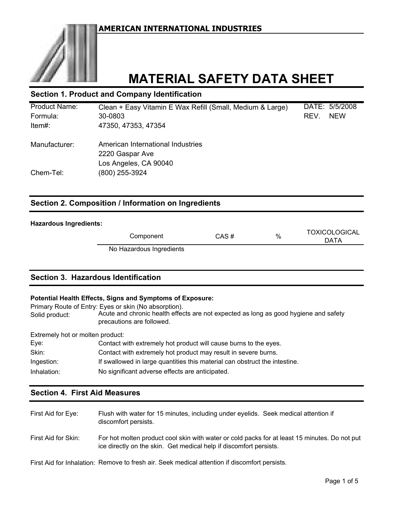

# **MATERIAL SAFETY DATA SHEET**

## **Section 1. Product and Company Identification**

| <b>Product Name:</b> | Clean + Easy Vitamin E Wax Refill (Small, Medium & Large) | DATE: 5/5/2008     |
|----------------------|-----------------------------------------------------------|--------------------|
| Formula:             | 30-0803                                                   | REV.<br><b>NEW</b> |
| Item#:               | 47350, 47353, 47354                                       |                    |
| Manufacturer:        | American International Industries                         |                    |
|                      | 2220 Gaspar Ave                                           |                    |
|                      | Los Angeles, CA 90040                                     |                    |
| Chem-Tel:            | (800) 255-3924                                            |                    |
|                      |                                                           |                    |

## **Section 2. Composition / Information on Ingredients**

#### **Hazardous Ingredients:**

 $CAS \#$  % Component No Hazardous Ingredients TOXICOLOGICAL DATA

## **Section 3. Hazardous Identification**

#### **Potential Health Effects, Signs and Symptoms of Exposure:**

Primary Route of Entry: Eyes or skin (No absorption). Solid product: Acute and chronic health effects are not expected as long as good hygiene and safety precautions are followed.

Extremely hot or molten product:

| Eye:        | Contact with extremely hot product will cause burns to the eyes.           |
|-------------|----------------------------------------------------------------------------|
| Skin:       | Contact with extremely hot product may result in severe burns.             |
| Ingestion:  | If swallowed in large quantities this material can obstruct the intestine. |
| Inhalation: | No significant adverse effects are anticipated.                            |

## **Section 4. First Aid Measures**

| First Aid for Eye:  | Flush with water for 15 minutes, including under eyelids. Seek medical attention if<br>discomfort persists.                                                         |
|---------------------|---------------------------------------------------------------------------------------------------------------------------------------------------------------------|
| First Aid for Skin: | For hot molten product cool skin with water or cold packs for at least 15 minutes. Do not put<br>ice directly on the skin. Get medical help if discomfort persists. |

First Aid for Inhalation: Remove to fresh air. Seek medical attention if discomfort persists.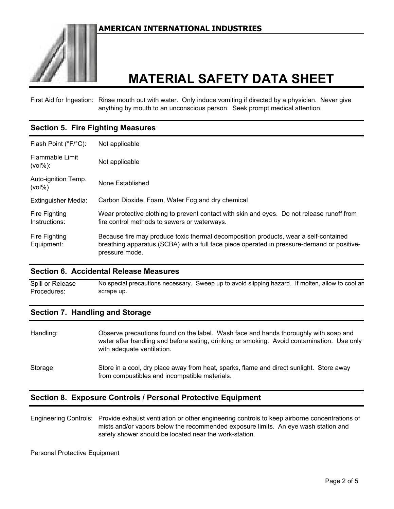

First Aid for Ingestion: Rinse mouth out with water. Only induce vomiting if directed by a physician. Never give anything by mouth to an unconscious person. Seek prompt medical attention.

## **Section 5. Fire Fighting Measures**

| Flash Point (°F/°C):             | Not applicable                                                                                                                                                                                       |
|----------------------------------|------------------------------------------------------------------------------------------------------------------------------------------------------------------------------------------------------|
| Flammable Limit<br>$(vol\%):$    | Not applicable                                                                                                                                                                                       |
| Auto-ignition Temp.<br>$(vol\%)$ | None Established                                                                                                                                                                                     |
| <b>Extinguisher Media:</b>       | Carbon Dioxide, Foam, Water Fog and dry chemical                                                                                                                                                     |
| Fire Fighting<br>Instructions:   | Wear protective clothing to prevent contact with skin and eyes. Do not release runoff from<br>fire control methods to sewers or waterways.                                                           |
| Fire Fighting<br>Equipment:      | Because fire may produce toxic thermal decomposition products, wear a self-contained<br>breathing apparatus (SCBA) with a full face piece operated in pressure-demand or positive-<br>pressure mode. |

## **Section 6. Accidental Release Measures**

Spill or Release Procedures: No special precautions necessary. Sweep up to avoid slipping hazard. If molten, allow to cool an scrape up.

## **Section 7. Handling and Storage**

| Handling: | Observe precautions found on the label. Wash face and hands thoroughly with soap and<br>water after handling and before eating, drinking or smoking. Avoid contamination. Use only<br>with adequate ventilation. |
|-----------|------------------------------------------------------------------------------------------------------------------------------------------------------------------------------------------------------------------|
| Storage:  | Store in a cool, dry place away from heat, sparks, flame and direct sunlight. Store away<br>from combustibles and incompatible materials.                                                                        |

## **Section 8. Exposure Controls / Personal Protective Equipment**

Engineering Controls: Provide exhaust ventilation or other engineering controls to keep airborne concentrations of mists and/or vapors below the recommended exposure limits. An eye wash station and safety shower should be located near the work-station.

Personal Protective Equipment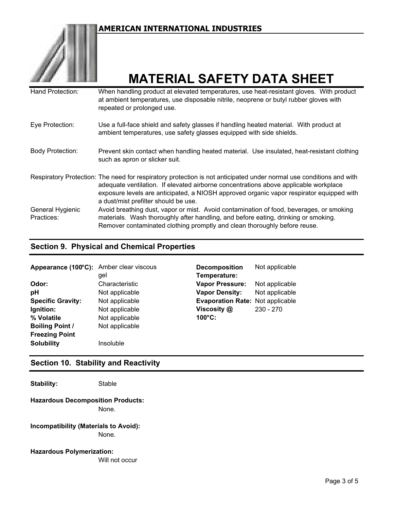

# **MATERIAL SAFETY DATA SHEET**

| Hand Protection:               | When handling product at elevated temperatures, use heat-resistant gloves. With product<br>at ambient temperatures, use disposable nitrile, neoprene or butyl rubber gloves with<br>repeated or prolonged use.                                                                                                                                  |
|--------------------------------|-------------------------------------------------------------------------------------------------------------------------------------------------------------------------------------------------------------------------------------------------------------------------------------------------------------------------------------------------|
| Eye Protection:                | Use a full-face shield and safety glasses if handling heated material. With product at<br>ambient temperatures, use safety glasses equipped with side shields.                                                                                                                                                                                  |
| <b>Body Protection:</b>        | Prevent skin contact when handling heated material. Use insulated, heat-resistant clothing<br>such as apron or slicker suit.                                                                                                                                                                                                                    |
|                                | Respiratory Protection: The need for respiratory protection is not anticipated under normal use conditions and with<br>adequate ventilation. If elevated airborne concentrations above applicable workplace<br>exposure levels are anticipated, a NIOSH approved organic vapor respirator equipped with<br>a dust/mist prefilter should be use. |
| General Hygienic<br>Practices: | Avoid breathing dust, vapor or mist. Avoid contamination of food, beverages, or smoking<br>materials. Wash thoroughly after handling, and before eating, drinking or smoking.<br>Remover contaminated clothing promptly and clean thoroughly before reuse.                                                                                      |

## **Section 9. Physical and Chemical Properties**

| Appearance (100°C): Amber clear viscous |                | <b>Decomposition</b>                    | Not applicable |
|-----------------------------------------|----------------|-----------------------------------------|----------------|
|                                         | gel            | Temperature:                            |                |
| Odor:                                   | Characteristic | <b>Vapor Pressure:</b>                  | Not applicable |
| pH                                      | Not applicable | <b>Vapor Density:</b>                   | Not applicable |
| <b>Specific Gravity:</b>                | Not applicable | <b>Evaporation Rate: Not applicable</b> |                |
| Ignition:                               | Not applicable | Viscosity @                             | $230 - 270$    |
| % Volatile                              | Not applicable | $100^{\circ}$ C:                        |                |
| <b>Boiling Point /</b>                  | Not applicable |                                         |                |
| <b>Freezing Point</b>                   |                |                                         |                |
| <b>Solubility</b>                       | Insoluble      |                                         |                |

# **Section 10. Stability and Reactivity**

Stability: Stable

#### None. **Hazardous Decomposition Products:**

**Incompatibility (Materials to Avoid):** None.

**Hazardous Polymerization:**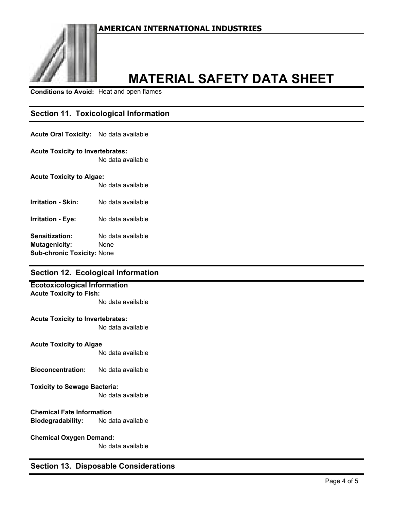

# **MATERIAL SAFETY DATA SHEET**

**Conditions to Avoid:** Heat and open flames

## **Section 11. Toxicological Information**

#### **Acute Oral Toxicity:** No data available

#### **Acute Toxicity to Invertebrates:**

No data available

#### **Acute Toxicity to Algae:**

No data available

**Irritation - Skin:** No data available

**Irritation - Eye:** No data available

**Sensitization:** No data available **Mutagenicity:** None **Sub-chronic Toxicity:** None

## **Section 12. Ecological Information**

# **Ecotoxicological Information**

# **Acute Toxicity to Fish:**

No data available

#### **Acute Toxicity to Invertebrates:**

No data available

#### **Acute Toxicity to Algae**

No data available

**Bioconcentration:** No data available

#### **Toxicity to Sewage Bacteria:**

No data available

## **Chemical Fate Information Biodegradability:** No data available

#### **Chemical Oxygen Demand:**

No data available

## **Section 13. Disposable Considerations**